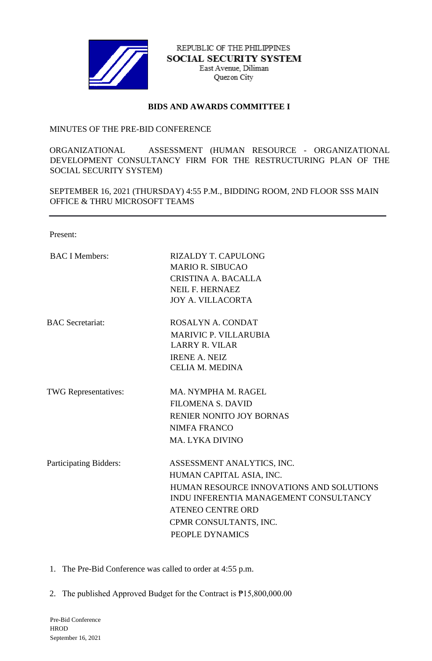

REPUBLIC OF THE PHILIPPINES SOCIAL SECURITY SYSTEM East Avenue, Diliman Quezon City

## **BIDS AND AWARDS COMMITTEE I**

## MINUTES OF THE PRE-BID CONFERENCE

ORGANIZATIONAL ASSESSMENT (HUMAN RESOURCE - ORGANIZATIONAL DEVELOPMENT CONSULTANCY FIRM FOR THE RESTRUCTURING PLAN OF THE SOCIAL SECURITY SYSTEM)

SEPTEMBER 16, 2021 (THURSDAY) 4:55 P.M., BIDDING ROOM, 2ND FLOOR SSS MAIN OFFICE & THRU MICROSOFT TEAMS

Present:

| <b>BAC I Members:</b>       | <b>RIZALDY T. CAPULONG</b><br><b>MARIO R. SIBUCAO</b><br>CRISTINA A. BACALLA<br><b>NEIL F. HERNAEZ</b><br><b>JOY A. VILLACORTA</b>                                                                                    |
|-----------------------------|-----------------------------------------------------------------------------------------------------------------------------------------------------------------------------------------------------------------------|
| <b>BAC</b> Secretariat:     | ROSALYN A. CONDAT<br><b>MARIVIC P. VILLARUBIA</b><br><b>LARRY R. VILAR</b><br><b>IRENE A. NEIZ</b><br><b>CELIA M. MEDINA</b>                                                                                          |
| <b>TWG</b> Representatives: | MA, NYMPHA M. RAGEL<br><b>FILOMENA S. DAVID</b><br>RENIER NONITO JOY BORNAS<br><b>NIMFA FRANCO</b><br><b>MA. LYKA DIVINO</b>                                                                                          |
| Participating Bidders:      | ASSESSMENT ANALYTICS, INC.<br>HUMAN CAPITAL ASIA, INC.<br>HUMAN RESOURCE INNOVATIONS AND SOLUTIONS<br>INDU INFERENTIA MANAGEMENT CONSULTANCY<br><b>ATENEO CENTRE ORD</b><br>CPMR CONSULTANTS, INC.<br>PEOPLE DYNAMICS |

1. The Pre-Bid Conference was called to order at 4:55 p.m.

2. The published Approved Budget for the Contract is ₱15,800,000.00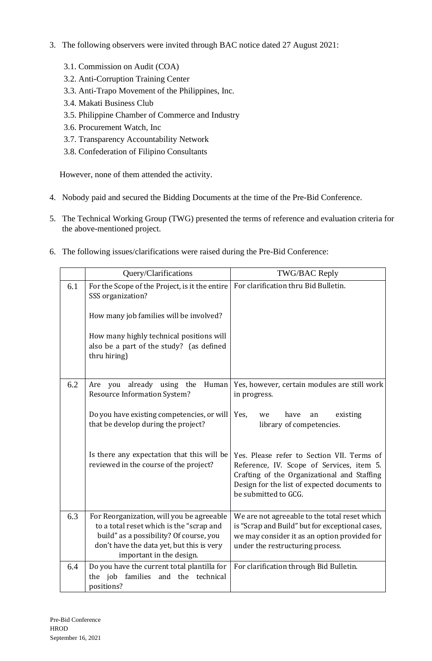- 3. The following observers were invited through BAC notice dated 27 August 2021:
	- 3.1. Commission on Audit (COA)
	- 3.2. Anti-Corruption Training Center
	- 3.3. Anti-Trapo Movement of the Philippines, Inc.
	- 3.4. Makati Business Club
	- 3.5. Philippine Chamber of Commerce and Industry
	- 3.6. Procurement Watch, Inc
	- 3.7. Transparency Accountability Network
	- 3.8. Confederation of Filipino Consultants

However, none of them attended the activity.

- 4. Nobody paid and secured the Bidding Documents at the time of the Pre-Bid Conference.
- 5. The Technical Working Group (TWG) presented the terms of reference and evaluation criteria for the above-mentioned project.
- 6. The following issues/clarifications were raised during the Pre-Bid Conference:

|     | Query/Clarifications                                                                                                                                                                                                                                         | TWG/BAC Reply                                                                                                                                                                                                                                                                                                              |
|-----|--------------------------------------------------------------------------------------------------------------------------------------------------------------------------------------------------------------------------------------------------------------|----------------------------------------------------------------------------------------------------------------------------------------------------------------------------------------------------------------------------------------------------------------------------------------------------------------------------|
| 6.1 | For the Scope of the Project, is it the entire<br>SSS organization?<br>How many job families will be involved?<br>How many highly technical positions will<br>also be a part of the study? (as defined<br>thru hiring)                                       | For clarification thru Bid Bulletin.                                                                                                                                                                                                                                                                                       |
| 6.2 | already using the<br>Human<br>Are<br>you<br><b>Resource Information System?</b><br>Do you have existing competencies, or will<br>that be develop during the project?<br>Is there any expectation that this will be<br>reviewed in the course of the project? | Yes, however, certain modules are still work<br>in progress.<br>Yes,<br>have<br>existing<br>an<br>we<br>library of competencies.<br>Yes. Please refer to Section VII. Terms of<br>Reference, IV. Scope of Services, item 5.<br>Crafting of the Organizational and Staffing<br>Design for the list of expected documents to |
| 6.3 | For Reorganization, will you be agreeable<br>to a total reset which is the "scrap and<br>build" as a possibility? Of course, you<br>don't have the data yet, but this is very                                                                                | be submitted to GCG.<br>We are not agreeable to the total reset which<br>is "Scrap and Build" but for exceptional cases,<br>we may consider it as an option provided for<br>under the restructuring process.                                                                                                               |
|     | important in the design.                                                                                                                                                                                                                                     |                                                                                                                                                                                                                                                                                                                            |
| 6.4 | Do you have the current total plantilla for<br>the job families<br>and the technical<br>positions?                                                                                                                                                           | For clarification through Bid Bulletin.                                                                                                                                                                                                                                                                                    |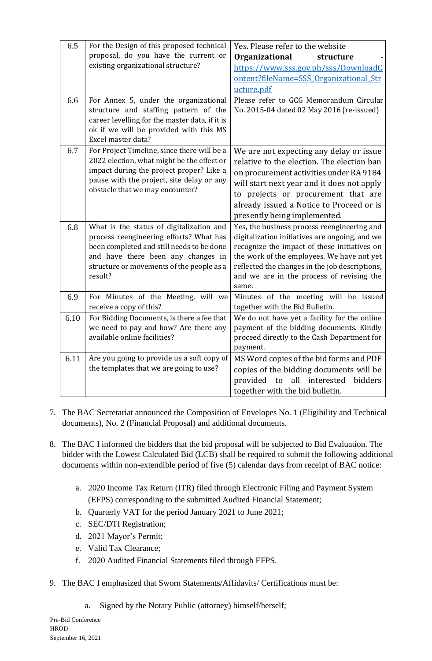| 6.5  | For the Design of this proposed technical<br>proposal, do you have the current or<br>existing organizational structure?                                                                                                        | Yes. Please refer to the website<br>Organizational<br>structure<br>https://www.sss.gov.ph/sss/DownloadC<br>ontent?fileName=SSS Organizational Str<br>ucture.pdf                                                                                                                                     |
|------|--------------------------------------------------------------------------------------------------------------------------------------------------------------------------------------------------------------------------------|-----------------------------------------------------------------------------------------------------------------------------------------------------------------------------------------------------------------------------------------------------------------------------------------------------|
| 6.6  | For Annex 5, under the organizational<br>structure and staffing pattern of the<br>career levelling for the master data, if it is<br>ok if we will be provided with this MS<br>Excel master data?                               | Please refer to GCG Memorandum Circular<br>No. 2015-04 dated 02 May 2016 (re-issued)                                                                                                                                                                                                                |
| 6.7  | For Project Timeline, since there will be a<br>2022 election, what might be the effect or<br>impact during the project proper? Like a<br>pause with the project, site delay or any<br>obstacle that we may encounter?          | We are not expecting any delay or issue<br>relative to the election. The election ban<br>on procurement activities under RA 9184<br>will start next year and it does not apply<br>to projects or procurement that are<br>already issued a Notice to Proceed or is<br>presently being implemented.   |
| 6.8  | What is the status of digitalization and<br>process reengineering efforts? What has<br>been completed and still needs to be done<br>and have there been any changes in<br>structure or movements of the people as a<br>result? | Yes, the business process reengineering and<br>digitalization initiatives are ongoing, and we<br>recognize the impact of these initiatives on<br>the work of the employees. We have not yet<br>reflected the changes in the job descriptions,<br>and we are in the process of revising the<br>same. |
| 6.9  | For Minutes of the Meeting, will we<br>receive a copy of this?                                                                                                                                                                 | Minutes of the meeting will be issued<br>together with the Bid Bulletin.                                                                                                                                                                                                                            |
| 6.10 | For Bidding Documents, is there a fee that<br>we need to pay and how? Are there any<br>available online facilities?                                                                                                            | We do not have yet a facility for the online<br>payment of the bidding documents. Kindly<br>proceed directly to the Cash Department for<br>payment.                                                                                                                                                 |
| 6.11 | Are you going to provide us a soft copy of<br>the templates that we are going to use?                                                                                                                                          | MS Word copies of the bid forms and PDF<br>copies of the bidding documents will be<br>provided to all interested<br>bidders<br>together with the bid bulletin.                                                                                                                                      |

- 7. The BAC Secretariat announced the Composition of Envelopes No. 1 (Eligibility and Technical documents), No. 2 (Financial Proposal) and additional documents.
- 8. The BAC I informed the bidders that the bid proposal will be subjected to Bid Evaluation. The bidder with the Lowest Calculated Bid (LCB) shall be required to submit the following additional documents within non-extendible period of five (5) calendar days from receipt of BAC notice:
	- a. 2020 Income Tax Return (ITR) filed through Electronic Filing and Payment System (EFPS) corresponding to the submitted Audited Financial Statement;
	- b. Quarterly VAT for the period January 2021 to June 2021;
	- c. SEC/DTI Registration;
	- d. 2021 Mayor's Permit;
	- e. Valid Tax Clearance;
	- f. 2020 Audited Financial Statements filed through EFPS.
- 9. The BAC I emphasized that Sworn Statements/Affidavits/ Certifications must be:
	- a. Signed by the Notary Public (attorney) himself/herself;